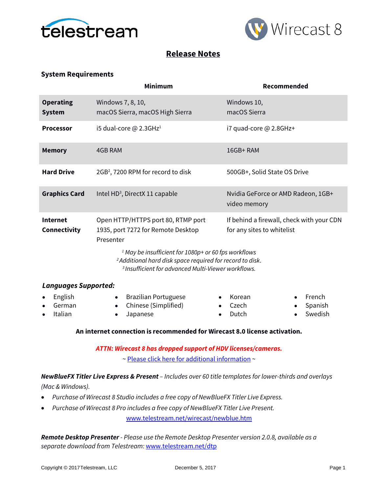



# **Release Notes**

## **System Requirements**

|                                   | <b>Minimum</b>                                                                                                                                                                                                                                                                                     | Recommended                                                             |  |
|-----------------------------------|----------------------------------------------------------------------------------------------------------------------------------------------------------------------------------------------------------------------------------------------------------------------------------------------------|-------------------------------------------------------------------------|--|
| <b>Operating</b><br><b>System</b> | Windows 7, 8, 10,<br>macOS Sierra, macOS High Sierra                                                                                                                                                                                                                                               | Windows 10,<br>macOS Sierra                                             |  |
| <b>Processor</b>                  | i5 dual-core @ 2.3GHz <sup>1</sup>                                                                                                                                                                                                                                                                 | i7 quad-core @ 2.8GHz+                                                  |  |
| <b>Memory</b>                     | 4GB RAM                                                                                                                                                                                                                                                                                            | 16GB+RAM                                                                |  |
| <b>Hard Drive</b>                 | 2GB <sup>2</sup> , 7200 RPM for record to disk                                                                                                                                                                                                                                                     | 500GB+, Solid State OS Drive                                            |  |
| <b>Graphics Card</b>              | Intel HD <sup>3</sup> , DirectX 11 capable                                                                                                                                                                                                                                                         | Nvidia GeForce or AMD Radeon, 1GB+<br>video memory                      |  |
| <b>Internet</b><br>Connectivity   | Open HTTP/HTTPS port 80, RTMP port<br>1935, port 7272 for Remote Desktop<br>Presenter<br><sup>1</sup> May be insufficient for 1080p+ or 60 fps workflows<br><sup>2</sup> Additional hard disk space required for record to disk.<br><sup>3</sup> Insufficient for advanced Multi-Viewer workflows. | If behind a firewall, check with your CDN<br>for any sites to whitelist |  |
| <b>Languages Supported:</b>       |                                                                                                                                                                                                                                                                                                    |                                                                         |  |
| English<br>German                 | <b>Brazilian Portuguese</b><br>٠<br>Chinese (Simplified)                                                                                                                                                                                                                                           | French<br>Korean<br>Czech<br>Spanish                                    |  |

• Italian

• Chinese (Simplified) • Japanese

- Czech • Dutch
- Spanish

• Swedish

## **An internet connection is recommended for Wirecast 8.0 license activation.**

*ATTN: Wirecast 8 has dropped support of HDV licenses/cameras.* 

~ [Please click here for additional information](http://www.telestream.net/telestream-support/wire-cast/faq.htm?kbURL=http://telestream.force.com/kb/articles/Knowledge_Article/Wirecast-HDV-Firewire-No-longer-Supported/) ~

*NewBlueFX Titler Live Express & Present – Includes over 60 title templates for lower-thirds and overlays* 

*(Mac & Windows).*

- *Purchase of Wirecast 8 Studio includes a free copy of NewBlueFX Titler Live Express.*
- *Purchase of Wirecast 8 Pro includes a free copy of NewBlueFX Titler Live Present.*

[www.telestream.net/wirecast/newblue.htm](http://www.telestream.net/wirecast/newblue.htm)

*Remote Desktop Presenter - Please use the Remote Desktop Presenter version 2.0.8, available as a separate download from Telestream:* [www.telestream.net/dtp](http://www.telestream.net/dtp)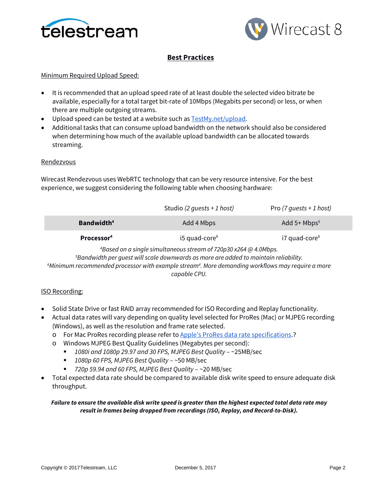



# **Best Practices**

### Minimum Required Upload Speed:

- It is recommended that an upload speed rate of at least double the selected video bitrate be available, especially for a total target bit-rate of 10Mbps (Megabits per second) or less, or when there are multiple outgoing streams.
- Upload speed can be tested at a website such as **TestMy.net/upload**.
- Additional tasks that can consume upload bandwidth on the network should also be considered when determining how much of the available upload bandwidth can be allocated towards streaming.

### **Rendezvous**

Wirecast Rendezvous uses WebRTC technology that can be very resource intensive. For the best experience, we suggest considering the following table when choosing hardware:

|                               | Studio (2 quests + 1 host)                                                  | Pro $(7 \text{ quests + 1 host)$ |
|-------------------------------|-----------------------------------------------------------------------------|----------------------------------|
| <b>Bandwidth</b> <sup>4</sup> | Add 4 Mbps                                                                  | Add $5+$ Mbps <sup>5</sup>       |
| Processor <sup>4</sup>        | $i5$ quad-core <sup>6</sup>                                                 | $i7$ quad-core $6$               |
|                               | <sup>4</sup> Based on a single simultaneous stream of 720p30 x264 @ 4 0Mbps |                                  |

*Based on a single simultaneous stream of 720p30 x264 @ 4.0Mbps. 5 Bandwidth per guest will scale downwards as more are added to maintain reliability. 6 Minimum recommended processor with example stream4 . More demanding workflows may require a more capable CPU.*

### ISO Recording:

- Solid State Drive or fast RAID array recommended for ISO Recording and Replay functionality.
- Actual data rates will vary depending on quality level selected for ProRes (Mac) or MJPEG recording (Windows), as well as the resolution and frame rate selected.
	- o For Mac ProRes recording please refer t[o Apple's ProRes data rate specifications.](https://documentation.apple.com/en/finalcutpro/professionalformatsandworkflows/index.html)?
	- o Windows MJPEG Best Quality Guidelines (Megabytes per second):
		- *1080i and 1080p 29.97 and 30 FPS, MJPEG Best Quality* ~25MB/sec
		- *1080p 60 FPS, MJPEG Best Quality* ~50 MB/sec
		- *720p 59.94 and 60 FPS, MJPEG Best Quality* ~20 MB/sec
- Total expected data rate should be compared to available disk write speed to ensure adequate disk throughput.

### *Failure to ensure the available disk write speed is greater than the highest expected total data rate may result in frames being dropped from recordings (ISO, Replay, and Record-to-Disk).*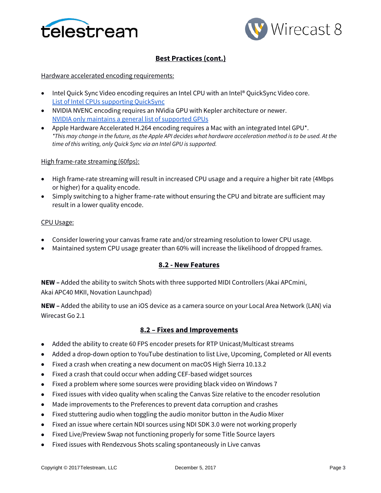



# **Best Practices (cont.)**

### Hardware accelerated encoding requirements:

- Intel Quick Sync Video encoding requires an Intel CPU with an Intel® QuickSync Video core[.](http://ark.intel.com/search/advanced?QuickSyncVideo=true&MarketSegment=DT) [List of Intel CPUs supporting QuickSync](http://ark.intel.com/search/advanced?QuickSyncVideo=true&MarketSegment=DT)
- NVIDIA NVENC encoding requires an NVidia GPU with Kepler architecture or newer[.](https://developer.nvidia.com/nvidia-video-codec-sdk) [NVIDIA only maintains a general list of supported GPUs](https://developer.nvidia.com/nvidia-video-codec-sdk)
- Apple Hardware Accelerated H.264 encoding requires a Mac with an integrated Intel GPU\*. *\*This may change in the future, as the Apple API decides what hardware acceleration method is to be used. At the time of this writing, only Quick Sync via an Intel GPU is supported.*

### High frame-rate streaming (60fps):

- High frame-rate streaming will result in increased CPU usage and a require a higher bit rate (4Mbps or higher) for a quality encode.
- Simply switching to a higher frame-rate without ensuring the CPU and bitrate are sufficient may result in a lower quality encode.

### CPU Usage:

- Consider lowering your canvas frame rate and/or streaming resolution to lower CPU usage.
- Maintained system CPU usage greater than 60% will increase the likelihood of dropped frames.

## **8.2 - New Features**

**NEW –** Added the ability to switch Shots with three supported MIDI Controllers (Akai APCmini, Akai APC40 MKII, Novation Launchpad)

**NEW –** Added the ability to use an iOS device as a camera source on your Local Area Network (LAN) via Wirecast Go 2.1

## **8.2 – Fixes and Improvements**

- Added the ability to create 60 FPS encoder presets for RTP Unicast/Multicast streams
- Added a drop-down option to YouTube destination to list Live, Upcoming, Completed or All events
- Fixed a crash when creating a new document on macOS High Sierra 10.13.2
- Fixed a crash that could occur when adding CEF-based widget sources
- Fixed a problem where some sources were providing black video on Windows 7
- Fixed issues with video quality when scaling the Canvas Size relative to the encoder resolution
- Made improvements to the Preferences to prevent data corruption and crashes
- Fixed stuttering audio when toggling the audio monitor button in the Audio Mixer
- Fixed an issue where certain NDI sources using NDI SDK 3.0 were not working properly
- Fixed Live/Preview Swap not functioning properly for some Title Source layers
- Fixed issues with Rendezvous Shots scaling spontaneously in Live canvas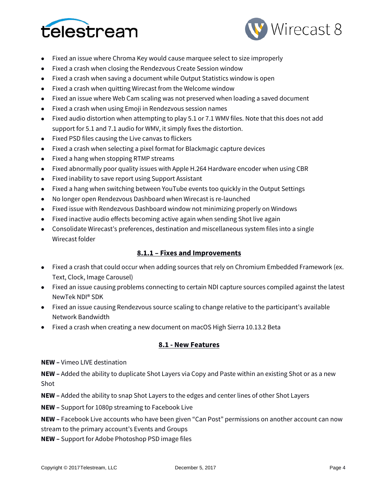



- Fixed an issue where Chroma Key would cause marquee select to size improperly
- Fixed a crash when closing the Rendezvous Create Session window
- Fixed a crash when saving a document while Output Statistics window is open
- Fixed a crash when quitting Wirecast from the Welcome window
- Fixed an issue where Web Cam scaling was not preserved when loading a saved document
- Fixed a crash when using Emoji in Rendezvous session names
- Fixed audio distortion when attempting to play 5.1 or 7.1 WMV files. Note that this does not add support for 5.1 and 7.1 audio for WMV, it simply fixes the distortion.
- Fixed PSD files causing the Live canvas to flickers
- Fixed a crash when selecting a pixel format for Blackmagic capture devices
- Fixed a hang when stopping RTMP streams
- Fixed abnormally poor quality issues with Apple H.264 Hardware encoder when using CBR
- Fixed inability to save report using Support Assistant
- Fixed a hang when switching between YouTube events too quickly in the Output Settings
- No longer open Rendezvous Dashboard when Wirecast is re-launched
- Fixed issue with Rendezvous Dashboard window not minimizing properly on Windows
- Fixed inactive audio effects becoming active again when sending Shot live again
- Consolidate Wirecast's preferences, destination and miscellaneous system files into a single Wirecast folder

## **8.1.1 – Fixes and Improvements**

- Fixed a crash that could occur when adding sources that rely on Chromium Embedded Framework (ex. Text, Clock, Image Carousel)
- Fixed an issue causing problems connecting to certain NDI capture sources compiled against the latest NewTek NDI® SDK
- Fixed an issue causing Rendezvous source scaling to change relative to the participant's available Network Bandwidth
- Fixed a crash when creating a new document on macOS High Sierra 10.13.2 Beta

### **8.1 - New Features**

**NEW –** Vimeo LIVE destination

**NEW –** Added the ability to duplicate Shot Layers via Copy and Paste within an existing Shot or as a new Shot

**NEW –** Added the ability to snap Shot Layers to the edges and center lines of other Shot Layers

**NEW –** Support for 1080p streaming to Facebook Live

**NEW –** Facebook Live accounts who have been given "Can Post" permissions on another account can now stream to the primary account's Events and Groups

**NEW –** Support for Adobe Photoshop PSD image files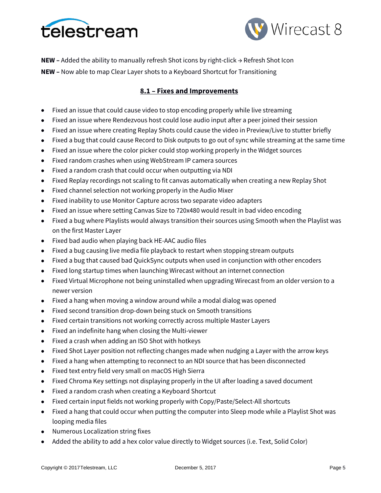



**NEW –** Added the ability to manually refresh Shot icons by right-click → Refresh Shot Icon

**NEW –** Now able to map Clear Layer shots to a Keyboard Shortcut for Transitioning

# **8.1 – Fixes and Improvements**

- Fixed an issue that could cause video to stop encoding properly while live streaming
- Fixed an issue where Rendezvous host could lose audio input after a peer joined their session
- Fixed an issue where creating Replay Shots could cause the video in Preview/Live to stutter briefly
- Fixed a bug that could cause Record to Disk outputs to go out of sync while streaming at the same time
- Fixed an issue where the color picker could stop working properly in the Widget sources
- Fixed random crashes when using WebStream IP camera sources
- Fixed a random crash that could occur when outputting via NDI
- Fixed Replay recordings not scaling to fit canvas automatically when creating a new Replay Shot
- Fixed channel selection not working properly in the Audio Mixer
- Fixed inability to use Monitor Capture across two separate video adapters
- Fixed an issue where setting Canvas Size to 720x480 would result in bad video encoding
- Fixed a bug where Playlists would always transition their sources using Smooth when the Playlist was on the first Master Layer
- Fixed bad audio when playing back HE-AAC audio files
- Fixed a bug causing live media file playback to restart when stopping stream outputs
- Fixed a bug that caused bad QuickSync outputs when used in conjunction with other encoders
- Fixed long startup times when launching Wirecast without an internet connection
- Fixed Virtual Microphone not being uninstalled when upgrading Wirecast from an older version to a newer version
- Fixed a hang when moving a window around while a modal dialog was opened
- Fixed second transition drop-down being stuck on Smooth transitions
- Fixed certain transitions not working correctly across multiple Master Layers
- Fixed an indefinite hang when closing the Multi-viewer
- Fixed a crash when adding an ISO Shot with hotkeys
- Fixed Shot Layer position not reflecting changes made when nudging a Layer with the arrow keys
- Fixed a hang when attempting to reconnect to an NDI source that has been disconnected
- Fixed text entry field very small on macOS High Sierra
- Fixed Chroma Key settings not displaying properly in the UI after loading a saved document
- Fixed a random crash when creating a Keyboard Shortcut
- Fixed certain input fields not working properly with Copy/Paste/Select-All shortcuts
- Fixed a hang that could occur when putting the computer into Sleep mode while a Playlist Shot was looping media files
- Numerous Localization string fixes
- Added the ability to add a hex color value directly to Widget sources (i.e. Text, Solid Color)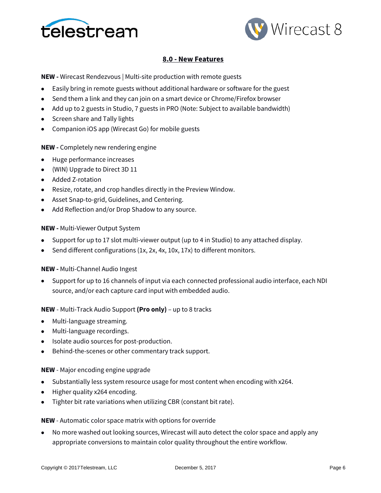



## **8.0 - New Features**

**NEW -** Wirecast Rendezvous | Multi-site production with remote guests

- Easily bring in remote guests without additional hardware or software for the guest
- Send them a link and they can join on a smart device or Chrome/Firefox browser
- Add up to 2 guests in Studio, 7 guests in PRO (Note: Subject to available bandwidth)
- Screen share and Tally lights
- Companion iOS app (Wirecast Go) for mobile guests

#### **NEW -** Completely new rendering engine

- Huge performance increases
- (WIN) Upgrade to Direct 3D 11
- Added Z-rotation
- Resize, rotate, and crop handles directly in the Preview Window.
- Asset Snap-to-grid, Guidelines, and Centering.
- Add Reflection and/or Drop Shadow to any source.

#### **NEW -** Multi-Viewer Output System

- Support for up to 17 slot multi-viewer output (up to 4 in Studio) to any attached display.
- Send different configurations (1x, 2x, 4x, 10x, 17x) to different monitors.

### **NEW -** Multi-Channel Audio Ingest

• Support for up to 16 channels of input via each connected professional audio interface, each NDI source, and/or each capture card input with embedded audio.

#### **NEW** - Multi-Track Audio Support **(Pro only)** – up to 8 tracks

- Multi-language streaming.
- Multi-language recordings.
- Isolate audio sources for post-production.
- Behind-the-scenes or other commentary track support.

#### **NEW** - Major encoding engine upgrade

- Substantially less system resource usage for most content when encoding with x264.
- Higher quality x264 encoding.
- Tighter bit rate variations when utilizing CBR (constant bit rate).

#### **NEW** - Automatic color space matrix with options for override

• No more washed out looking sources, Wirecast will auto detect the color space and apply any appropriate conversions to maintain color quality throughout the entire workflow.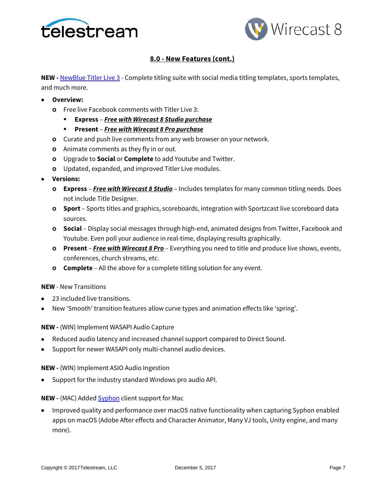



# **8.0 - New Features (cont.)**

**NEW** - **[NewBlue Titler Live 3](https://www.newbluefx.com/products/on-air-graphics/titler-live/)** - Complete titling suite with social media titling templates, sports templates, and much more.

- **Overview:**
	- **o** Free live Facebook comments with Titler Live 3:
		- **Express**  *Free with Wirecast 8 Studio purchase*
		- **Present** *Free with Wirecast 8 Pro purchase*
	- **o** Curate and push live comments from any web browser on your network.
	- **o** Animate comments as they fly in or out.
	- **o** Upgrade to **Social** or **Complete** to add Youtube and Twitter.
	- **o** Updated, expanded, and improved Titler Live modules.
- **Versions:**
	- **o Express**  *Free with Wirecast 8 Studio* Includes templates for many common titling needs. Does not include Title Designer.
	- **o Sport** Sports titles and graphics, scoreboards, integration with Sportzcast live scoreboard data sources.
	- **o Social** Display social messages through high-end, animated designs from Twitter, Facebook and Youtube. Even poll your audience in real-time, displaying results graphically.
	- **o Present** *Free with Wirecast 8 Pro* Everything you need to title and produce live shows, events, conferences, church streams, etc.
	- **o Complete** All the above for a complete titling solution for any event.

### **NEW** - New Transitions

- 23 included live transitions.
- New 'Smooth' transition features allow curve types and animation effects like 'spring'.

**NEW -** (WIN) Implement WASAPI Audio Capture

- Reduced audio latency and increased channel support compared to Direct Sound.
- Support for newer WASAPI only multi-channel audio devices.

**NEW -** (WIN) Implement ASIO Audio Ingestion

• Support for the industry standard Windows pro audio API.

### **NEW -** (MAC) Added **Syphon** client support for Mac

• Improved quality and performance over macOS native functionality when capturing Syphon enabled apps on macOS (Adobe After effects and Character Animator, Many VJ tools, Unity engine, and many more).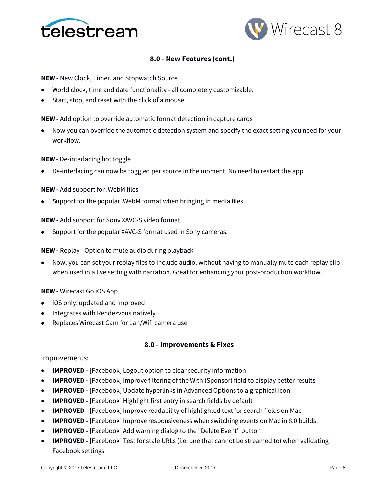



## **8.0 - New Features (cont.)**

**NEW -** New Clock, Timer, and Stopwatch Source

- World clock, time and date functionality all completely customizable.
- Start, stop, and reset with the click of a mouse.

**NEW -** Add option to override automatic format detection in capture cards

• Now you can override the automatic detection system and specify the exact setting you need for your workflow.

#### **NEW** - De-interlacing hot toggle

• De-interlacing can now be toggled per source in the moment. No need to restart the app.

#### **NEW -** Add support for .WebM files

• Support for the popular .WebM format when bringing in media files.

#### **NEW -** Add support for Sony XAVC-S video format

• Support for the popular XAVC-S format used in Sony cameras.

#### **NEW -** Replay - Option to mute audio during playback

• Now, you can set your replay files to include audio, without having to manually mute each replay clip when used in a live setting with narration. Great for enhancing your post-production workflow.

#### **NEW -** Wirecast Go iOS App

- iOS only, updated and improved
- Integrates with Rendezvous natively
- Replaces Wirecast Cam for Lan/Wifi camera use

#### **8.0 - Improvements & Fixes**

#### Improvements:

- **IMPROVED -** [Facebook] Logout option to clear security information
- **IMPROVED -** [Facebook] Improve filtering of the With (Sponsor) field to display better results
- **IMPROVED -** [Facebook] Update hyperlinks in Advanced Options to a graphical icon
- **IMPROVED -** [Facebook] Highlight first entry in search fields by default
- **IMPROVED -** [Facebook] Improve readability of highlighted text for search fields on Mac
- **IMPROVED -** [Facebook] Improve responsiveness when switching events on Mac in 8.0 builds.
- **IMPROVED -** [Facebook] Add warning dialog to the "Delete Event" button
- **IMPROVED -** [Facebook] Test for stale URLs (i.e. one that cannot be streamed to) when validating Facebook settings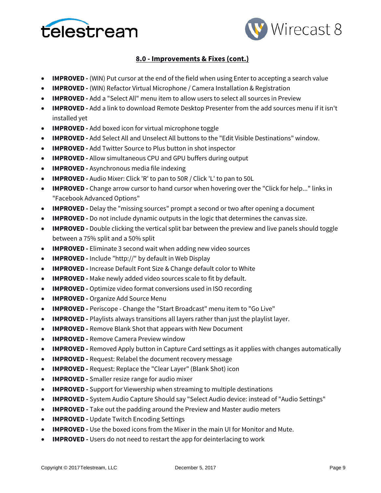



- **IMPROVED -** (WIN) Put cursor at the end of the field when using Enter to accepting a search value
- **IMPROVED -** (WIN) Refactor Virtual Microphone / Camera Installation & Registration
- **IMPROVED -** Add a "Select All" menu item to allow users to select all sources in Preview
- **IMPROVED -** Add a link to download Remote Desktop Presenter from the add sources menu if it isn't installed yet
- **IMPROVED -** Add boxed icon for virtual microphone toggle
- **IMPROVED -** Add Select All and Unselect All buttons to the "Edit Visible Destinations" window.
- **IMPROVED -** Add Twitter Source to Plus button in shot inspector
- **IMPROVED -** Allow simultaneous CPU and GPU buffers during output
- **IMPROVED -** Asynchronous media file indexing
- **IMPROVED -** Audio Mixer: Click 'R' to pan to 50R / Click 'L' to pan to 50L
- **IMPROVED -** Change arrow cursor to hand cursor when hovering over the "Click for help..." links in "Facebook Advanced Options"
- **IMPROVED -** Delay the "missing sources" prompt a second or two after opening a document
- **IMPROVED -** Do not include dynamic outputs in the logic that determines the canvas size.
- **IMPROVED -** Double clicking the vertical split bar between the preview and live panels should toggle between a 75% split and a 50% split
- **IMPROVED -** Eliminate 3 second wait when adding new video sources
- **IMPROVED -** Include "http://" by default in Web Display
- **IMPROVED -** Increase Default Font Size & Change default color to White
- **IMPROVED** Make newly added video sources scale to fit by default.
- **IMPROVED -** Optimize video format conversions used in ISO recording
- **IMPROVED -** Organize Add Source Menu
- **IMPROVED -** Periscope Change the "Start Broadcast" menu item to "Go Live"
- **IMPROVED -** Playlists always transitions all layers rather than just the playlist layer.
- **IMPROVED -** Remove Blank Shot that appears with New Document
- **IMPROVED -** Remove Camera Preview window
- **IMPROVED -** Removed Apply button in Capture Card settings as it applies with changes automatically
- **IMPROVED** Request: Relabel the document recovery message
- **IMPROVED -** Request: Replace the "Clear Layer" (Blank Shot) icon
- **IMPROVED -** Smaller resize range for audio mixer
- **IMPROVED -** Support for Viewership when streaming to multiple destinations
- **IMPROVED -** System Audio Capture Should say "Select Audio device: instead of "Audio Settings"
- **IMPROVED -** Take out the padding around the Preview and Master audio meters
- **IMPROVED -** Update Twitch Encoding Settings
- **IMPROVED -** Use the boxed icons from the Mixer in the main UI for Monitor and Mute.
- **IMPROVED** Users do not need to restart the app for deinterlacing to work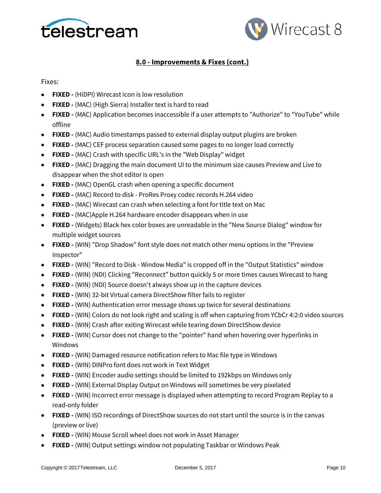



Fixes:

- **FIXED -** (HiDPI) Wirecast icon is low resolution
- **FIXED -** (MAC) (High Sierra) Installer text is hard to read
- **FIXED -** (MAC) Application becomes inaccessible if a user attempts to "Authorize" to "YouTube" while offline
- **FIXED -** (MAC) Audio timestamps passed to external display output plugins are broken
- **FIXED -** (MAC) CEF process separation caused some pages to no longer load correctly
- **FIXED -** (MAC) Crash with specific URL's in the "Web Display" widget
- **FIXED -** (MAC) Dragging the main document UI to the minimum size causes Preview and Live to disappear when the shot editor is open
- **FIXED -** (MAC) OpenGL crash when opening a specific document
- **FIXED -** (MAC) Record to disk ProRes Proxy codec records H.264 video
- **FIXED -** (MAC) Wirecast can crash when selecting a font for title text on Mac
- **FIXED -** (MAC)Apple H.264 hardware encoder disappears when in use
- **FIXED -** (Widgets) Black hex color boxes are unreadable in the "New Source Dialog" window for multiple widget sources
- **FIXED -** (WIN) "Drop Shadow" font style does not match other menu options in the "Preview Inspector"
- **FIXED -** (WIN) "Record to Disk Window Media" is cropped off in the "Output Statistics" window
- **FIXED -** (WIN) (NDI) Clicking "Reconnect" button quickly 5 or more times causes Wirecast to hang
- **FIXED -** (WIN) (NDI) Source doesn't always show up in the capture devices
- **FIXED -** (WIN) 32-bit Virtual camera DirectShow filter fails to register
- **FIXED -** (WIN) Authentication error message shows up twice for several destinations
- **FIXED -** (WIN) Colors do not look right and scaling is off when capturing from YCbCr 4:2:0 video sources
- **FIXED -** (WIN) Crash after exiting Wirecast while tearing down DirectShow device
- **FIXED -** (WIN) Cursor does not change to the "pointer" hand when hovering over hyperlinks in Windows
- **FIXED -** (WIN) Damaged resource notification refers to Mac file type in Windows
- **FIXED -** (WIN) DINPro font does not work in Text Widget
- **FIXED -** (WIN) Encoder audio settings should be limited to 192kbps on Windows only
- **FIXED -** (WIN) External Display Output on Windows will sometimes be very pixelated
- **FIXED -** (WIN) Incorrect error message is displayed when attempting to record Program Replay to a read-only folder
- **FIXED -** (WIN) ISO recordings of DirectShow sources do not start until the source is in the canvas (preview or live)
- **FIXED -** (WIN) Mouse Scroll wheel does not work in Asset Manager
- **FIXED -** (WIN) Output settings window not populating Taskbar or Windows Peak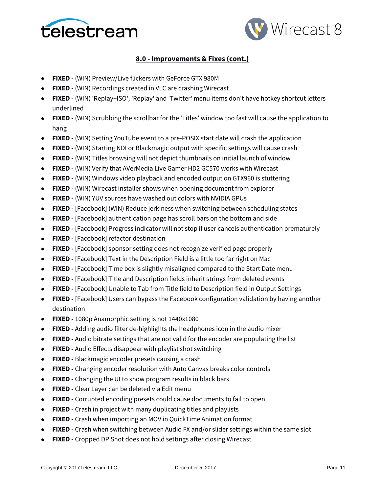



- **FIXED -** (WIN) Preview/Live flickers with GeForce GTX 980M
- **FIXED -** (WIN) Recordings created in VLC are crashing Wirecast
- **FIXED -** (WIN) 'Replay+ISO', 'Replay' and 'Twitter' menu items don't have hotkey shortcut letters underlined
- **FIXED -** (WIN) Scrubbing the scrollbar for the 'Titles' window too fast will cause the application to hang
- **FIXED -** (WIN) Setting YouTube event to a pre-POSIX start date will crash the application
- **FIXED -** (WIN) Starting NDI or Blackmagic output with specific settings will cause crash
- **FIXED -** (WIN) Titles browsing will not depict thumbnails on initial launch of window
- **FIXED -** (WIN) Verify that AVerMedia Live Gamer HD2 GC570 works with Wirecast
- **FIXED -** (WIN) Windows video playback and encoded output on GTX960 is stuttering
- **FIXED -** (WIN) Wirecast installer shows when opening document from explorer
- **FIXED -** (WIN) YUV sources have washed out colors with NVIDIA GPUs
- **FIXED -** [Facebook] (WIN) Reduce jerkiness when switching between scheduling states
- **FIXED -** [Facebook] authentication page has scroll bars on the bottom and side
- **FIXED -** [Facebook] Progress indicator will not stop if user cancels authentication prematurely
- **FIXED -** [Facebook] refactor destination
- **FIXED -** [Facebook] sponsor setting does not recognize verified page properly
- **FIXED -** [Facebook] Text in the Description Field is a little too far right on Mac
- **FIXED -** [Facebook] Time box is slightly misaligned compared to the Start Date menu
- **FIXED -** [Facebook] Title and Description fields inherit strings from deleted events
- **FIXED -** [Facebook] Unable to Tab from Title field to Description field in Output Settings
- **FIXED -** [Facebook] Users can bypass the Facebook configuration validation by having another destination
- **FIXED -** 1080p Anamorphic setting is not 1440x1080
- **FIXED -** Adding audio filter de-highlights the headphones icon in the audio mixer
- **FIXED -** Audio bitrate settings that are not valid for the encoder are populating the list
- **FIXED -** Audio Effects disappear with playlist shot switching
- **FIXED -** Blackmagic encoder presets causing a crash
- **FIXED -** Changing encoder resolution with Auto Canvas breaks color controls
- **FIXED -** Changing the UI to show program results in black bars
- **FIXED -** Clear Layer can be deleted via Edit menu
- **FIXED -** Corrupted encoding presets could cause documents to fail to open
- **FIXED -** Crash in project with many duplicating titles and playlists
- **FIXED -** Crash when importing an MOV in QuickTime Animation format
- **FIXED -** Crash when switching between Audio FX and/or slider settings within the same slot
- **FIXED -** Cropped DP Shot does not hold settings after closing Wirecast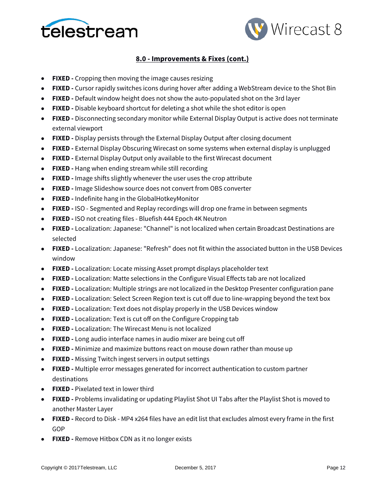



- **FIXED -** Cropping then moving the image causes resizing
- **FIXED -** Cursor rapidly switches icons during hover after adding a WebStream device to the Shot Bin
- **FIXED -** Default window height does not show the auto-populated shot on the 3rd layer
- **FIXED -** Disable keyboard shortcut for deleting a shot while the shot editor is open
- **FIXED -** Disconnecting secondary monitor while External Display Output is active does not terminate external viewport
- **FIXED -** Display persists through the External Display Output after closing document
- **FIXED -** External Display Obscuring Wirecast on some systems when external display is unplugged
- **FIXED -** External Display Output only available to the first Wirecast document
- **FIXED -** Hang when ending stream while still recording
- **FIXED -** Image shifts slightly whenever the user uses the crop attribute
- **FIXED -** Image Slideshow source does not convert from OBS converter
- **FIXED -** Indefinite hang in the GlobalHotkeyMonitor
- **FIXED -** ISO Segmented and Replay recordings will drop one frame in between segments
- **FIXED -** ISO not creating files Bluefish 444 Epoch 4K Neutron
- **FIXED -** Localization: Japanese: "Channel" is not localized when certain Broadcast Destinations are selected
- **FIXED -** Localization: Japanese: "Refresh" does not fit within the associated button in the USB Devices window
- **FIXED -** Localization: Locate missing Asset prompt displays placeholder text
- **FIXED -** Localization: Matte selections in the Configure Visual Effects tab are not localized
- **FIXED -** Localization: Multiple strings are not localized in the Desktop Presenter configuration pane
- **FIXED -** Localization: Select Screen Region text is cut off due to line-wrapping beyond the text box
- **FIXED -** Localization: Text does not display properly in the USB Devices window
- **FIXED -** Localization: Text is cut off on the Configure Cropping tab
- **FIXED -** Localization: The Wirecast Menu is not localized
- **FIXED -** Long audio interface names in audio mixer are being cut off
- **FIXED -** Minimize and maximize buttons react on mouse down rather than mouse up
- **FIXED -** Missing Twitch ingest servers in output settings
- **FIXED -** Multiple error messages generated for incorrect authentication to custom partner destinations
- **FIXED -** Pixelated text in lower third
- **FIXED -** Problems invalidating or updating Playlist Shot UI Tabs after the Playlist Shot is moved to another Master Layer
- **FIXED -** Record to Disk MP4 x264 files have an edit list that excludes almost every frame in the first GOP
- **FIXED -** Remove Hitbox CDN as it no longer exists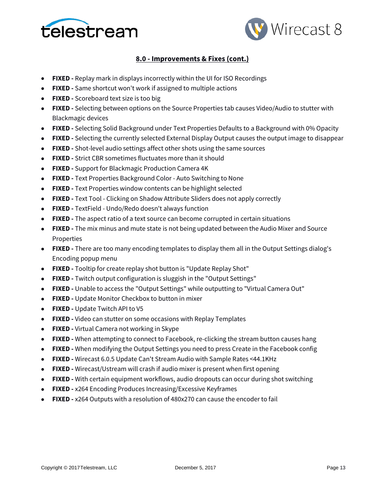



- **FIXED -** Replay mark in displays incorrectly within the UI for ISO Recordings
- **FIXED -** Same shortcut won't work if assigned to multiple actions
- **FIXED -** Scoreboard text size is too big
- **FIXED -** Selecting between options on the Source Properties tab causes Video/Audio to stutter with Blackmagic devices
- **FIXED -** Selecting Solid Background under Text Properties Defaults to a Background with 0% Opacity
- **FIXED -** Selecting the currently selected External Display Output causes the output image to disappear
- **FIXED -** Shot-level audio settings affect other shots using the same sources
- **FIXED -** Strict CBR sometimes fluctuates more than it should
- **FIXED -** Support for Blackmagic Production Camera 4K
- **FIXED -** Text Properties Background Color Auto Switching to None
- **FIXED -** Text Properties window contents can be highlight selected
- **FIXED -** Text Tool Clicking on Shadow Attribute Sliders does not apply correctly
- **FIXED -** TextField Undo/Redo doesn't always function
- **FIXED -** The aspect ratio of a text source can become corrupted in certain situations
- **FIXED -** The mix minus and mute state is not being updated between the Audio Mixer and Source Properties
- **FIXED -** There are too many encoding templates to display them all in the Output Settings dialog's Encoding popup menu
- **FIXED -** Tooltip for create replay shot button is "Update Replay Shot"
- **FIXED -** Twitch output configuration is sluggish in the "Output Settings"
- **FIXED -** Unable to access the "Output Settings" while outputting to "Virtual Camera Out"
- **FIXED -** Update Monitor Checkbox to button in mixer
- **FIXED -** Update Twitch API to V5
- **FIXED -** Video can stutter on some occasions with Replay Templates
- **FIXED -** Virtual Camera not working in Skype
- **FIXED -** When attempting to connect to Facebook, re-clicking the stream button causes hang
- **FIXED -** When modifying the Output Settings you need to press Create in the Facebook config
- **FIXED -** Wirecast 6.0.5 Update Can't Stream Audio with Sample Rates <44.1KHz
- **FIXED -** Wirecast/Ustream will crash if audio mixer is present when first opening
- **FIXED -** With certain equipment workflows, audio dropouts can occur during shot switching
- **FIXED -** x264 Encoding Produces Increasing/Excessive Keyframes
- **FIXED -** x264 Outputs with a resolution of 480x270 can cause the encoder to fail